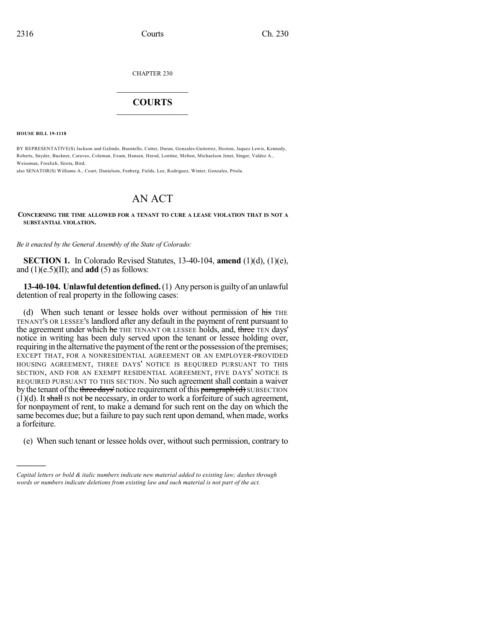CHAPTER 230

## $\overline{\phantom{a}}$  . The set of the set of the set of the set of the set of the set of the set of the set of the set of the set of the set of the set of the set of the set of the set of the set of the set of the set of the set o **COURTS**  $\_$   $\_$   $\_$   $\_$   $\_$   $\_$   $\_$   $\_$

**HOUSE BILL 19-1118**

)))))

BY REPRESENTATIVE(S) Jackson and Galindo, Buentello, Cutter, Duran, Gonzales-Gutierrez, Hooton, Jaquez Lewis, Kennedy, Roberts, Snyder, Buckner, Caraveo, Coleman, Exum, Hansen, Herod, Lontine, Melton, Michaelson Jenet, Singer, Valdez A., Weissman, Froelich, Sirota, Bird;

also SENATOR(S) Williams A., Court, Danielson, Fenberg, Fields, Lee, Rodriguez, Winter, Gonzales, Priola.

## AN ACT

## **CONCERNING THE TIME ALLOWED FOR A TENANT TO CURE A LEASE VIOLATION THAT IS NOT A SUBSTANTIAL VIOLATION.**

*Be it enacted by the General Assembly of the State of Colorado:*

**SECTION 1.** In Colorado Revised Statutes, 13-40-104, **amend** (1)(d), (1)(e), and  $(1)(e.5)(II)$ ; and **add**  $(5)$  as follows:

**13-40-104. Unlawful detention defined.** (1) Any person is guilty of an unlawful detention of real property in the following cases:

(d) When such tenant or lessee holds over without permission of his THE TENANT'S OR LESSEE'S landlord after any default in the payment of rent pursuant to the agreement under which he THE TENANT OR LESSEE holds, and, three TEN days' notice in writing has been duly served upon the tenant or lessee holding over, requiring in the alternative the payment of the rent or the possession of the premises; EXCEPT THAT, FOR A NONRESIDENTIAL AGREEMENT OR AN EMPLOYER-PROVIDED HOUSING AGREEMENT, THREE DAYS' NOTICE IS REQUIRED PURSUANT TO THIS SECTION, AND FOR AN EXEMPT RESIDENTIAL AGREEMENT, FIVE DAYS' NOTICE IS REQUIRED PURSUANT TO THIS SECTION. No such agreement shall contain a waiver by the tenant of the three days' notice requirement of this paragraph  $(d)$  SUBSECTION  $(1)(d)$ . It shall is not be necessary, in order to work a forfeiture of such agreement, for nonpayment of rent, to make a demand for such rent on the day on which the same becomes due; but a failure to pay such rent upon demand, when made, works a forfeiture.

(e) When such tenant or lessee holds over, without such permission, contrary to

*Capital letters or bold & italic numbers indicate new material added to existing law; dashes through words or numbers indicate deletions from existing law and such material is not part of the act.*